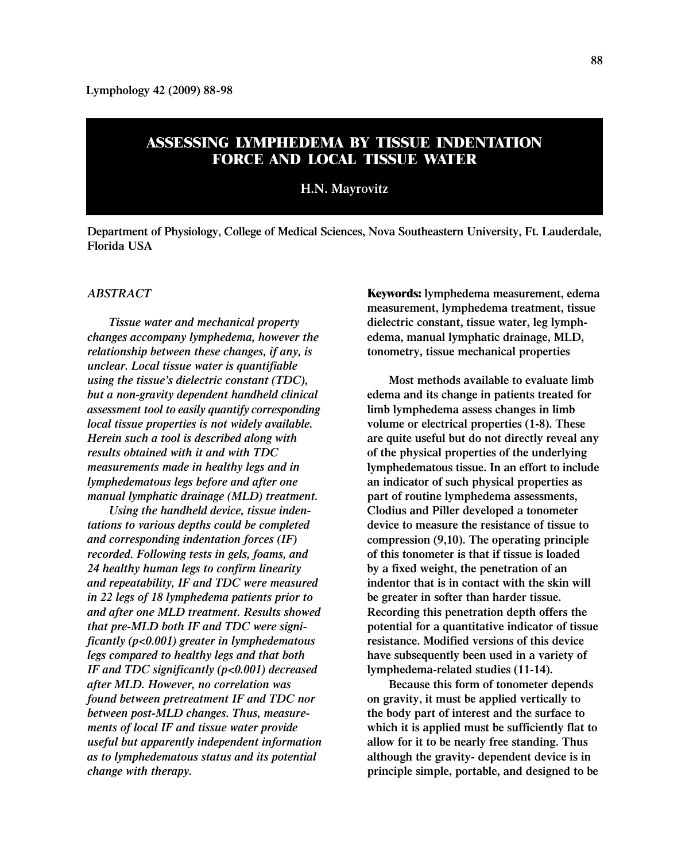# **ASSESSING LYMPHEDEMA BY TISSUE INDENTATION FORCE AND LOCAL TISSUE WATER**

### **H.N. Mayrovitz**

**Department of Physiology, College of Medical Sciences, Nova Southeastern University, Ft. Lauderdale, Florida USA**

### *ABSTRACT*

*Tissue water and mechanical property changes accompany lymphedema, however the relationship between these changes, if any, is unclear. Local tissue water is quantifiable using the tissue's dielectric constant (TDC), but a non-gravity dependent handheld clinical assessment tool to easily quantify corresponding local tissue properties is not widely available. Herein such a tool is described along with results obtained with it and with TDC measurements made in healthy legs and in lymphedematous legs before and after one manual lymphatic drainage (MLD) treatment.*

*Using the handheld device, tissue indentations to various depths could be completed and corresponding indentation forces (IF) recorded. Following tests in gels, foams, and 24 healthy human legs to confirm linearity and repeatability, IF and TDC were measured in 22 legs of 18 lymphedema patients prior to and after one MLD treatment. Results showed that pre-MLD both IF and TDC were significantly (p<0.001) greater in lymphedematous legs compared to healthy legs and that both IF and TDC significantly (p<0.001) decreased after MLD. However, no correlation was found between pretreatment IF and TDC nor between post-MLD changes. Thus, measurements of local IF and tissue water provide useful but apparently independent information as to lymphedematous status and its potential change with therapy.*

**Keywords: lymphedema measurement, edema measurement, lymphedema treatment, tissue dielectric constant, tissue water, leg lymphedema, manual lymphatic drainage, MLD, tonometry, tissue mechanical properties** 

**Most methods available to evaluate limb edema and its change in patients treated for limb lymphedema assess changes in limb volume or electrical properties (1-8). These are quite useful but do not directly reveal any of the physical properties of the underlying lymphedematous tissue. In an effort to include an indicator of such physical properties as part of routine lymphedema assessments, Clodius and Piller developed a tonometer device to measure the resistance of tissue to compression (9,10). The operating principle of this tonometer is that if tissue is loaded by a fixed weight, the penetration of an indentor that is in contact with the skin will be greater in softer than harder tissue. Recording this penetration depth offers the potential for a quantitative indicator of tissue resistance. Modified versions of this device have subsequently been used in a variety of lymphedema-related studies (11-14).**

**Because this form of tonometer depends on gravity, it must be applied vertically to the body part of interest and the surface to which it is applied must be sufficiently flat to allow for it to be nearly free standing. Thus although the gravity- dependent device is in principle simple, portable, and designed to be**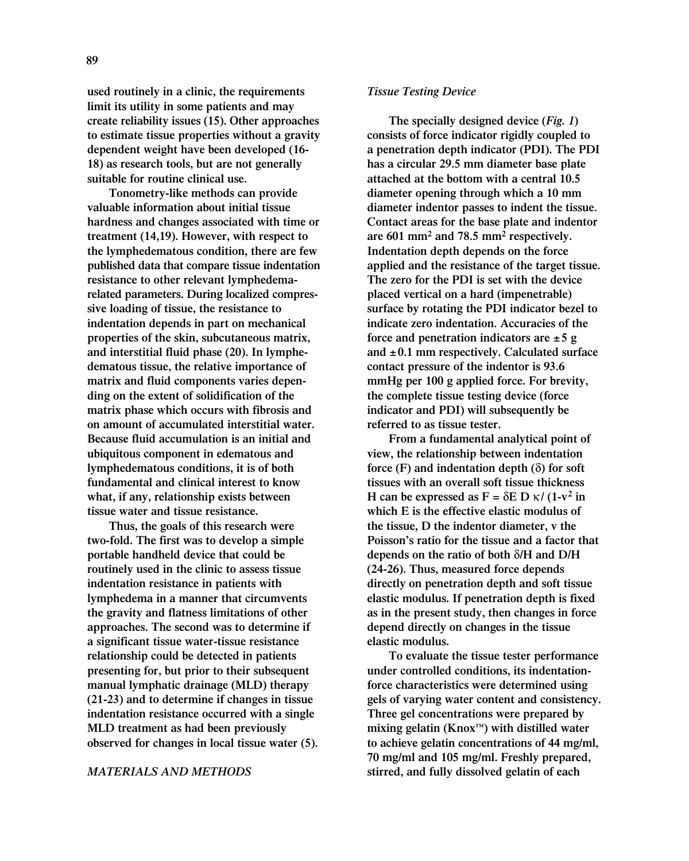**used routinely in a clinic, the requirements limit its utility in some patients and may create reliability issues (15). Other approaches to estimate tissue properties without a gravity dependent weight have been developed (16- 18) as research tools, but are not generally suitable for routine clinical use.**

**Tonometry-like methods can provide valuable information about initial tissue hardness and changes associated with time or treatment (14,19). However, with respect to the lymphedematous condition, there are few published data that compare tissue indentation resistance to other relevant lymphedemarelated parameters. During localized compressive loading of tissue, the resistance to indentation depends in part on mechanical properties of the skin, subcutaneous matrix, and interstitial fluid phase (20). In lymphedematous tissue, the relative importance of matrix and fluid components varies depending on the extent of solidification of the matrix phase which occurs with fibrosis and on amount of accumulated interstitial water. Because fluid accumulation is an initial and ubiquitous component in edematous and lymphedematous conditions, it is of both fundamental and clinical interest to know what, if any, relationship exists between tissue water and tissue resistance.** 

**Thus, the goals of this research were two-fold. The first was to develop a simple portable handheld device that could be routinely used in the clinic to assess tissue indentation resistance in patients with lymphedema in a manner that circumvents the gravity and flatness limitations of other approaches. The second was to determine if a significant tissue water-tissue resistance relationship could be detected in patients presenting for, but prior to their subsequent manual lymphatic drainage (MLD) therapy (21-23) and to determine if changes in tissue indentation resistance occurred with a single MLD treatment as had been previously observed for changes in local tissue water (5).** 

#### *MATERIALS AND METHODS*

#### *Tissue Testing Device*

**The specially designed device (***Fig. 1***) consists of force indicator rigidly coupled to a penetration depth indicator (PDI). The PDI has a circular 29.5 mm diameter base plate attached at the bottom with a central 10.5 diameter opening through which a 10 mm diameter indentor passes to indent the tissue. Contact areas for the base plate and indentor are 601 mm<sup>2</sup> and 78.5 mm<sup>2</sup> respectively. Indentation depth depends on the force applied and the resistance of the target tissue. The zero for the PDI is set with the device placed vertical on a hard (impenetrable) surface by rotating the PDI indicator bezel to indicate zero indentation. Accuracies of the force and penetration indicators are ±5 g and ±0.1 mm respectively. Calculated surface contact pressure of the indentor is 93.6 mmHg per 100 g applied force. For brevity, the complete tissue testing device (force indicator and PDI) will subsequently be referred to as tissue tester.**

**From a fundamental analytical point of view, the relationship between indentation force (F) and indentation depth (**δ**) for soft tissues with an overall soft tissue thickness H** can be expressed as  $F = \delta E \ln \frac{K}{1 - v^2}$  in **which E is the effective elastic modulus of the tissue, D the indentor diameter, v the Poisson's ratio for the tissue and a factor that depends on the ratio of both** δ**/H and D/H (24-26). Thus, measured force depends directly on penetration depth and soft tissue elastic modulus. If penetration depth is fixed as in the present study, then changes in force depend directly on changes in the tissue elastic modulus.** 

**To evaluate the tissue tester performance under controlled conditions, its indentationforce characteristics were determined using gels of varying water content and consistency. Three gel concentrations were prepared by mixing gelatin (Knox™) with distilled water to achieve gelatin concentrations of 44 mg/ml, 70 mg/ml and 105 mg/ml. Freshly prepared, stirred, and fully dissolved gelatin of each**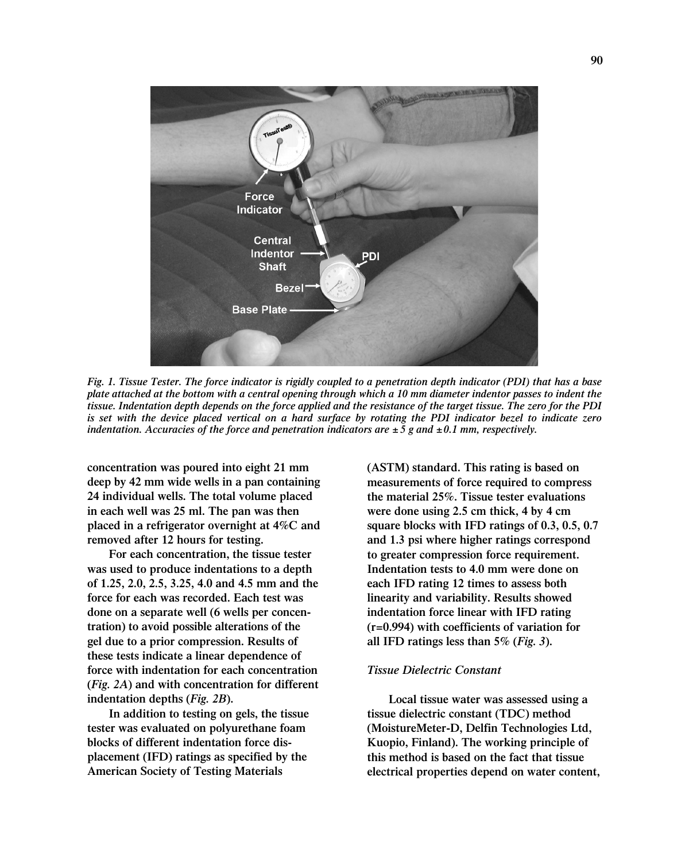

*Fig. 1. Tissue Tester. The force indicator is rigidly coupled to a penetration depth indicator (PDI) that has a base plate attached at the bottom with a central opening through which a 10 mm diameter indentor passes to indent the tissue. Indentation depth depends on the force applied and the resistance of the target tissue. The zero for the PDI is set with the device placed vertical on a hard surface by rotating the PDI indicator bezel to indicate zero indentation. Accuracies of the force and penetration indicators are*  $\pm$  5 g and  $\pm$ 0.1 mm, respectively.

**concentration was poured into eight 21 mm deep by 42 mm wide wells in a pan containing 24 individual wells. The total volume placed in each well was 25 ml. The pan was then placed in a refrigerator overnight at 4%C and removed after 12 hours for testing.**

**For each concentration, the tissue tester was used to produce indentations to a depth of 1.25, 2.0, 2.5, 3.25, 4.0 and 4.5 mm and the force for each was recorded. Each test was done on a separate well (6 wells per concentration) to avoid possible alterations of the gel due to a prior compression. Results of these tests indicate a linear dependence of force with indentation for each concentration (***Fig. 2A***) and with concentration for different indentation depths (***Fig. 2B***).**

**In addition to testing on gels, the tissue tester was evaluated on polyurethane foam blocks of different indentation force displacement (IFD) ratings as specified by the American Society of Testing Materials**

**(ASTM) standard. This rating is based on measurements of force required to compress the material 25%. Tissue tester evaluations were done using 2.5 cm thick, 4 by 4 cm square blocks with IFD ratings of 0.3, 0.5, 0.7 and 1.3 psi where higher ratings correspond to greater compression force requirement. Indentation tests to 4.0 mm were done on each IFD rating 12 times to assess both linearity and variability. Results showed indentation force linear with IFD rating (r=0.994) with coefficients of variation for all IFD ratings less than 5% (***Fig. 3***).** 

### *Tissue Dielectric Constant*

**Local tissue water was assessed using a tissue dielectric constant (TDC) method (MoistureMeter-D, Delfin Technologies Ltd, Kuopio, Finland). The working principle of this method is based on the fact that tissue electrical properties depend on water content,**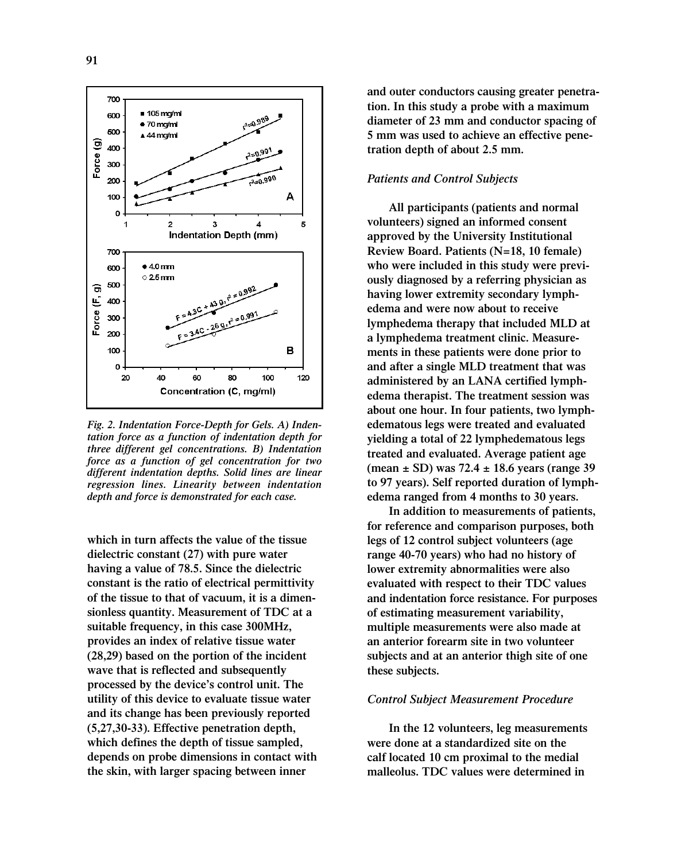

*Fig. 2. Indentation Force-Depth for Gels. A) Indentation force as a function of indentation depth for three different gel concentrations. B) Indentation force as a function of gel concentration for two different indentation depths. Solid lines are linear regression lines. Linearity between indentation depth and force is demonstrated for each case.*

**which in turn affects the value of the tissue dielectric constant (27) with pure water having a value of 78.5. Since the dielectric constant is the ratio of electrical permittivity of the tissue to that of vacuum, it is a dimensionless quantity. Measurement of TDC at a suitable frequency, in this case 300MHz, provides an index of relative tissue water (28,29) based on the portion of the incident wave that is reflected and subsequently processed by the device's control unit. The utility of this device to evaluate tissue water and its change has been previously reported (5,27,30-33). Effective penetration depth, which defines the depth of tissue sampled, depends on probe dimensions in contact with the skin, with larger spacing between inner**

**and outer conductors causing greater penetration. In this study a probe with a maximum diameter of 23 mm and conductor spacing of 5 mm was used to achieve an effective penetration depth of about 2.5 mm.** 

### *Patients and Control Subjects*

**All participants (patients and normal volunteers) signed an informed consent approved by the University Institutional Review Board. Patients (N=18, 10 female) who were included in this study were previously diagnosed by a referring physician as having lower extremity secondary lymphedema and were now about to receive lymphedema therapy that included MLD at a lymphedema treatment clinic. Measurements in these patients were done prior to and after a single MLD treatment that was administered by an LANA certified lymphedema therapist. The treatment session was about one hour. In four patients, two lymphedematous legs were treated and evaluated yielding a total of 22 lymphedematous legs treated and evaluated. Average patient age (mean ± SD) was 72.4 ± 18.6 years (range 39 to 97 years). Self reported duration of lymphedema ranged from 4 months to 30 years.** 

**In addition to measurements of patients, for reference and comparison purposes, both legs of 12 control subject volunteers (age range 40-70 years) who had no history of lower extremity abnormalities were also evaluated with respect to their TDC values and indentation force resistance. For purposes of estimating measurement variability, multiple measurements were also made at an anterior forearm site in two volunteer subjects and at an anterior thigh site of one these subjects.**

### *Control Subject Measurement Procedure*

**In the 12 volunteers, leg measurements were done at a standardized site on the calf located 10 cm proximal to the medial malleolus. TDC values were determined in**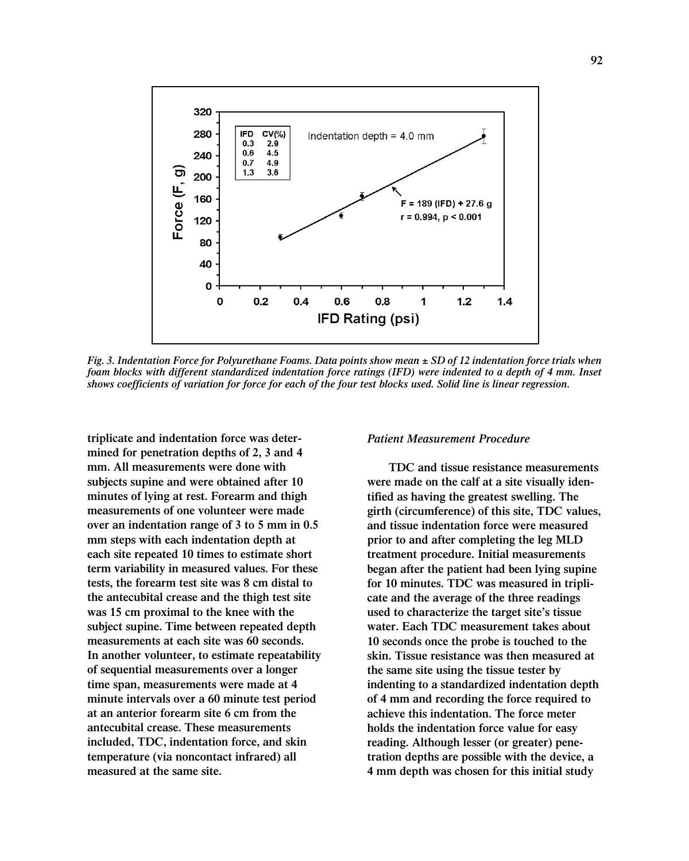

*Fig. 3. Indentation Force for Polyurethane Foams. Data points show mean ± SD of 12 indentation force trials when foam blocks with different standardized indentation force ratings (IFD) were indented to a depth of 4 mm. Inset shows coefficients of variation for force for each of the four test blocks used. Solid line is linear regression.* 

**triplicate and indentation force was determined for penetration depths of 2, 3 and 4 mm. All measurements were done with subjects supine and were obtained after 10 minutes of lying at rest. Forearm and thigh measurements of one volunteer were made over an indentation range of 3 to 5 mm in 0.5 mm steps with each indentation depth at each site repeated 10 times to estimate short term variability in measured values. For these tests, the forearm test site was 8 cm distal to the antecubital crease and the thigh test site was 15 cm proximal to the knee with the subject supine. Time between repeated depth measurements at each site was 60 seconds. In another volunteer, to estimate repeatability of sequential measurements over a longer time span, measurements were made at 4 minute intervals over a 60 minute test period at an anterior forearm site 6 cm from the antecubital crease. These measurements included, TDC, indentation force, and skin temperature (via noncontact infrared) all measured at the same site.** 

*Patient Measurement Procedure*

**TDC and tissue resistance measurements were made on the calf at a site visually identified as having the greatest swelling. The girth (circumference) of this site, TDC values, and tissue indentation force were measured prior to and after completing the leg MLD treatment procedure. Initial measurements began after the patient had been lying supine for 10 minutes. TDC was measured in triplicate and the average of the three readings used to characterize the target site's tissue water. Each TDC measurement takes about 10 seconds once the probe is touched to the skin. Tissue resistance was then measured at the same site using the tissue tester by indenting to a standardized indentation depth of 4 mm and recording the force required to achieve this indentation. The force meter holds the indentation force value for easy reading. Although lesser (or greater) penetration depths are possible with the device, a 4 mm depth was chosen for this initial study**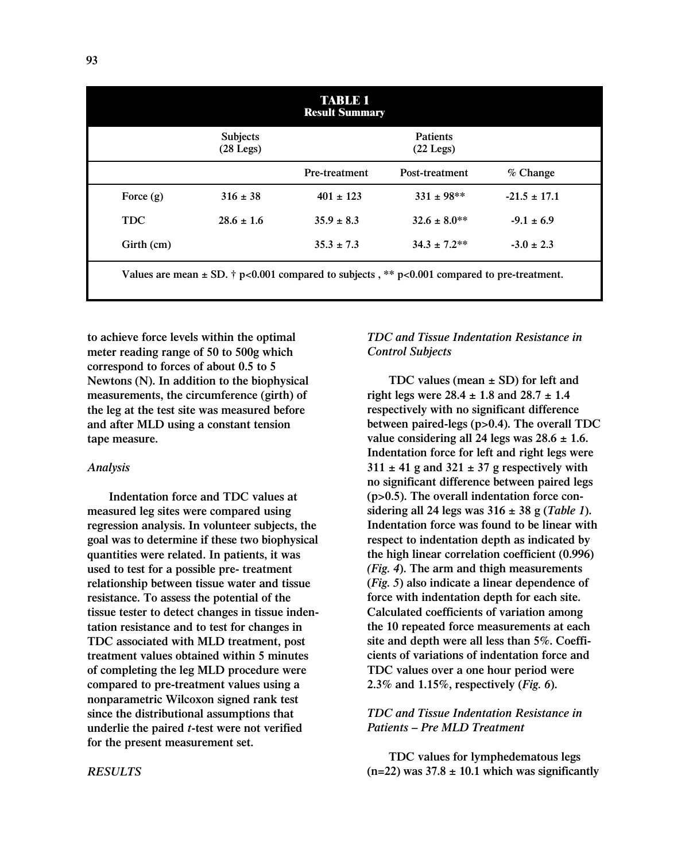| <b>TABLE 1</b><br><b>Result Summary</b>                                                                 |                                      |                |                                      |                  |
|---------------------------------------------------------------------------------------------------------|--------------------------------------|----------------|--------------------------------------|------------------|
|                                                                                                         | <b>Subjects</b><br>$(28 \text{Leg})$ |                | <b>Patients</b><br>$(22 \text{Leg})$ |                  |
|                                                                                                         |                                      | Pre-treatment  | Post-treatment                       | $%$ Change       |
| Force $(g)$                                                                                             | $316 \pm 38$                         | $401 \pm 123$  | $331 \pm 98$ **                      | $-21.5 \pm 17.1$ |
| <b>TDC</b>                                                                                              | $28.6 \pm 1.6$                       | $35.9 \pm 8.3$ | $32.6 \pm 8.0**$                     | $-9.1 \pm 6.9$   |
| Girth (cm)                                                                                              |                                      | $35.3 \pm 7.3$ | $34.3 \pm 7.2**$                     | $-3.0 \pm 2.3$   |
| Values are mean $\pm$ SD. $\dagger$ p<0.001 compared to subjects, ** p<0.001 compared to pre-treatment. |                                      |                |                                      |                  |

**to achieve force levels within the optimal meter reading range of 50 to 500g which correspond to forces of about 0.5 to 5 Newtons (N). In addition to the biophysical measurements, the circumference (girth) of the leg at the test site was measured before and after MLD using a constant tension tape measure.** 

### *Analysis*

**Indentation force and TDC values at measured leg sites were compared using regression analysis. In volunteer subjects, the goal was to determine if these two biophysical quantities were related. In patients, it was used to test for a possible pre- treatment relationship between tissue water and tissue resistance. To assess the potential of the tissue tester to detect changes in tissue indentation resistance and to test for changes in TDC associated with MLD treatment, post treatment values obtained within 5 minutes of completing the leg MLD procedure were compared to pre-treatment values using a nonparametric Wilcoxon signed rank test since the distributional assumptions that underlie the paired** *t***-test were not verified for the present measurement set.** 

# *TDC and Tissue Indentation Resistance in Control Subjects*

**TDC values (mean ± SD) for left and right legs were 28.4 ± 1.8 and 28.7 ± 1.4 respectively with no significant difference between paired-legs (p>0.4). The overall TDC value considering all 24 legs was 28.6 ± 1.6. Indentation force for left and right legs were 311 ± 41 g and 321 ± 37 g respectively with no significant difference between paired legs (p>0.5). The overall indentation force considering all 24 legs was 316 ± 38 g (***Table 1***). Indentation force was found to be linear with respect to indentation depth as indicated by the high linear correlation coefficient (0.996)** *(Fig. 4***). The arm and thigh measurements (***Fig. 5***) also indicate a linear dependence of force with indentation depth for each site. Calculated coefficients of variation among the 10 repeated force measurements at each site and depth were all less than 5%. Coefficients of variations of indentation force and TDC values over a one hour period were 2.3% and 1.15%, respectively (***Fig. 6***).** 

# *TDC and Tissue Indentation Resistance in Patients – Pre MLD Treatment*

**TDC values for lymphedematous legs**  $(n=22)$  was  $37.8 \pm 10.1$  which was significantly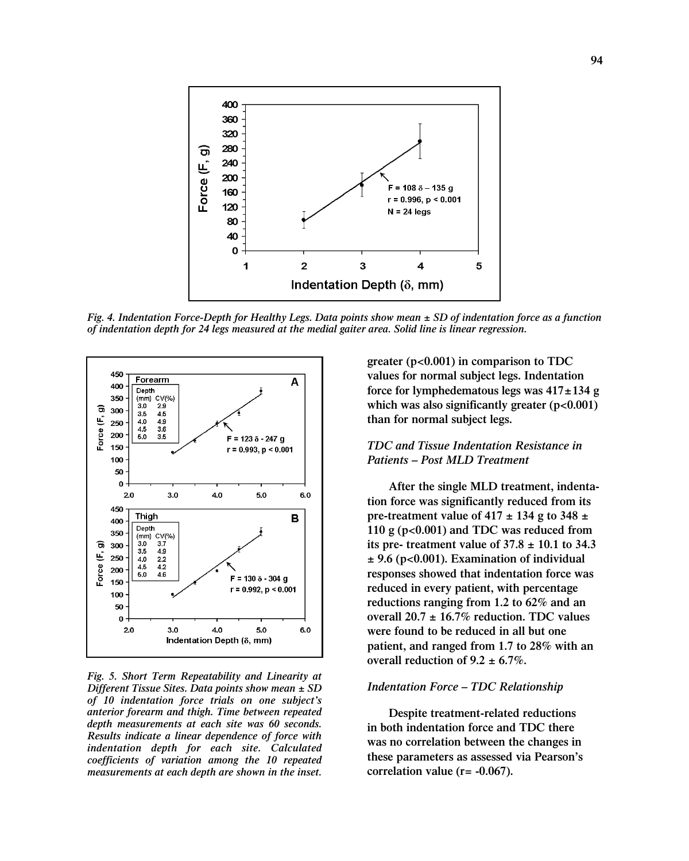

*Fig. 4. Indentation Force-Depth for Healthy Legs. Data points show mean ± SD of indentation force as a function of indentation depth for 24 legs measured at the medial gaiter area. Solid line is linear regression.* 



*Fig. 5. Short Term Repeatability and Linearity at Different Tissue Sites. Data points show mean ± SD of 10 indentation force trials on one subject's anterior forearm and thigh. Time between repeated depth measurements at each site was 60 seconds. Results indicate a linear dependence of force with indentation depth for each site. Calculated coefficients of variation among the 10 repeated measurements at each depth are shown in the inset.*

**greater (p<0.001) in comparison to TDC values for normal subject legs. Indentation force for lymphedematous legs was 417±134 g which was also significantly greater (p<0.001) than for normal subject legs.** 

### *TDC and Tissue Indentation Resistance in Patients – Post MLD Treatment*

**After the single MLD treatment, indentation force was significantly reduced from its pre-treatment value of 417 ± 134 g to 348 ± 110 g (p<0.001) and TDC was reduced from its pre- treatment value of 37.8 ± 10.1 to 34.3 ± 9.6 (p<0.001). Examination of individual responses showed that indentation force was reduced in every patient, with percentage reductions ranging from 1.2 to 62% and an overall 20.7 ± 16.7% reduction. TDC values were found to be reduced in all but one patient, and ranged from 1.7 to 28% with an overall reduction of 9.2**  $\pm$  **6.7%.** 

### *Indentation Force – TDC Relationship*

**Despite treatment-related reductions in both indentation force and TDC there was no correlation between the changes in these parameters as assessed via Pearson's correlation value (r= -0.067).**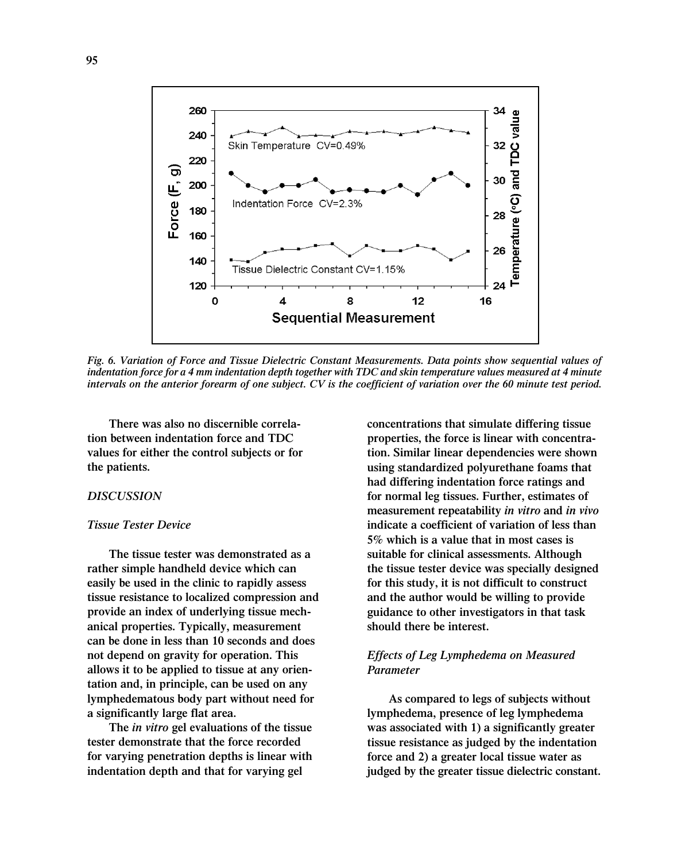

*Fig. 6. Variation of Force and Tissue Dielectric Constant Measurements. Data points show sequential values of indentation force for a 4 mm indentation depth together with TDC and skin temperature values measured at 4 minute intervals on the anterior forearm of one subject. CV is the coefficient of variation over the 60 minute test period.*

**There was also no discernible correlation between indentation force and TDC values for either the control subjects or for the patients.**

### *DISCUSSION*

#### *Tissue Tester Device*

**The tissue tester was demonstrated as a rather simple handheld device which can easily be used in the clinic to rapidly assess tissue resistance to localized compression and provide an index of underlying tissue mechanical properties. Typically, measurement can be done in less than 10 seconds and does not depend on gravity for operation. This allows it to be applied to tissue at any orientation and, in principle, can be used on any lymphedematous body part without need for a significantly large flat area.** 

**The** *in vitro* **gel evaluations of the tissue tester demonstrate that the force recorded for varying penetration depths is linear with indentation depth and that for varying gel**

**concentrations that simulate differing tissue properties, the force is linear with concentration. Similar linear dependencies were shown using standardized polyurethane foams that had differing indentation force ratings and for normal leg tissues. Further, estimates of measurement repeatability** *in vitro* **and** *in vivo* **indicate a coefficient of variation of less than 5% which is a value that in most cases is suitable for clinical assessments. Although the tissue tester device was specially designed for this study, it is not difficult to construct and the author would be willing to provide guidance to other investigators in that task should there be interest.**

# *Effects of Leg Lymphedema on Measured Parameter*

**As compared to legs of subjects without lymphedema, presence of leg lymphedema was associated with 1) a significantly greater tissue resistance as judged by the indentation force and 2) a greater local tissue water as judged by the greater tissue dielectric constant.**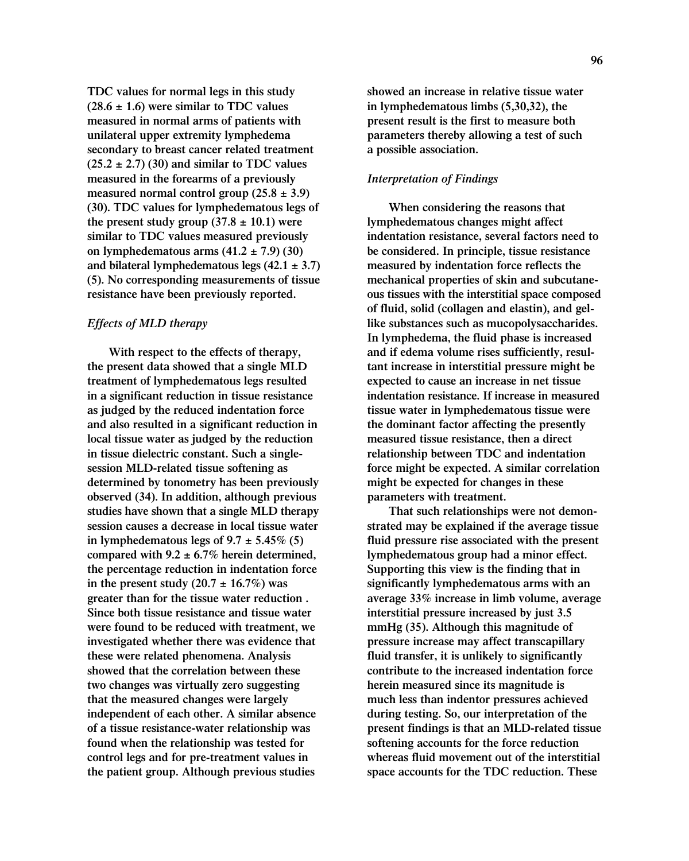**TDC values for normal legs in this study (28.6 ± 1.6) were similar to TDC values measured in normal arms of patients with unilateral upper extremity lymphedema secondary to breast cancer related treatment (25.2 ± 2.7) (30) and similar to TDC values measured in the forearms of a previously measured normal control group (25.8 ± 3.9) (30). TDC values for lymphedematous legs of** the present study group  $(37.8 \pm 10.1)$  were **similar to TDC values measured previously on lymphedematous arms (41.2 ± 7.9) (30) and bilateral lymphedematous legs (42.1 ± 3.7) (5). No corresponding measurements of tissue resistance have been previously reported.** 

# *Effects of MLD therapy*

**With respect to the effects of therapy, the present data showed that a single MLD treatment of lymphedematous legs resulted in a significant reduction in tissue resistance as judged by the reduced indentation force and also resulted in a significant reduction in local tissue water as judged by the reduction in tissue dielectric constant. Such a singlesession MLD-related tissue softening as determined by tonometry has been previously observed (34). In addition, although previous studies have shown that a single MLD therapy session causes a decrease in local tissue water** in lymphedematous legs of  $9.7 \pm 5.45\%$  (5) **compared with 9.2 ± 6.7% herein determined, the percentage reduction in indentation force** in the present study  $(20.7 \pm 16.7\%)$  was **greater than for the tissue water reduction . Since both tissue resistance and tissue water were found to be reduced with treatment, we investigated whether there was evidence that these were related phenomena. Analysis showed that the correlation between these two changes was virtually zero suggesting that the measured changes were largely independent of each other. A similar absence of a tissue resistance-water relationship was found when the relationship was tested for control legs and for pre-treatment values in the patient group. Although previous studies**

**showed an increase in relative tissue water in lymphedematous limbs (5,30,32), the present result is the first to measure both parameters thereby allowing a test of such a possible association.** 

### *Interpretation of Findings*

**When considering the reasons that lymphedematous changes might affect indentation resistance, several factors need to be considered. In principle, tissue resistance measured by indentation force reflects the mechanical properties of skin and subcutaneous tissues with the interstitial space composed of fluid, solid (collagen and elastin), and gellike substances such as mucopolysaccharides. In lymphedema, the fluid phase is increased and if edema volume rises sufficiently, resultant increase in interstitial pressure might be expected to cause an increase in net tissue indentation resistance. If increase in measured tissue water in lymphedematous tissue were the dominant factor affecting the presently measured tissue resistance, then a direct relationship between TDC and indentation force might be expected. A similar correlation might be expected for changes in these parameters with treatment.** 

**That such relationships were not demonstrated may be explained if the average tissue fluid pressure rise associated with the present lymphedematous group had a minor effect. Supporting this view is the finding that in significantly lymphedematous arms with an average 33% increase in limb volume, average interstitial pressure increased by just 3.5 mmHg (35). Although this magnitude of pressure increase may affect transcapillary fluid transfer, it is unlikely to significantly contribute to the increased indentation force herein measured since its magnitude is much less than indentor pressures achieved during testing. So, our interpretation of the present findings is that an MLD-related tissue softening accounts for the force reduction whereas fluid movement out of the interstitial space accounts for the TDC reduction. These**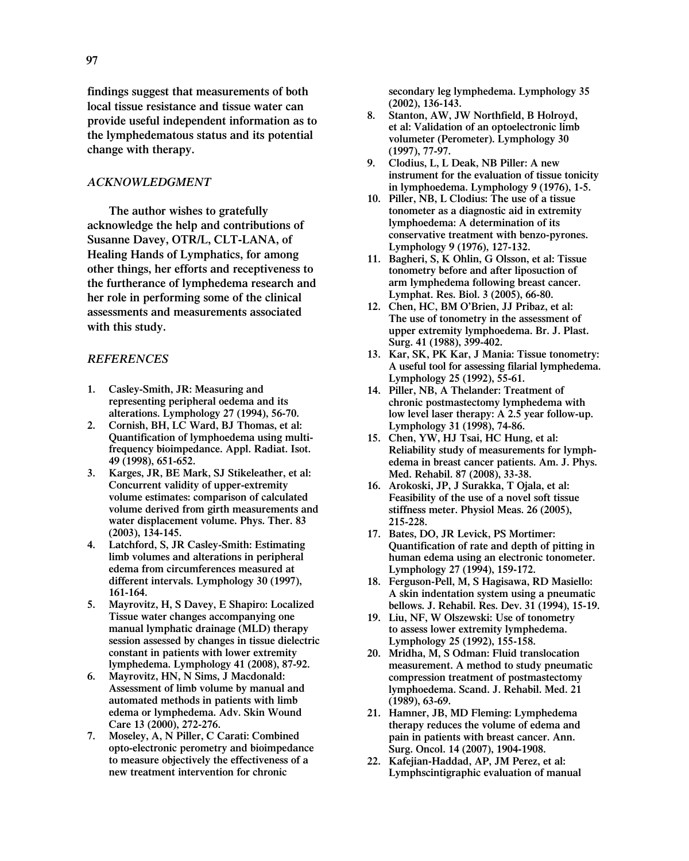**findings suggest that measurements of both local tissue resistance and tissue water can provide useful independent information as to the lymphedematous status and its potential change with therapy.** 

### *ACKNOWLEDGMENT*

**The author wishes to gratefully acknowledge the help and contributions of Susanne Davey, OTR/L, CLT-LANA, of Healing Hands of Lymphatics, for among other things, her efforts and receptiveness to the furtherance of lymphedema research and her role in performing some of the clinical assessments and measurements associated with this study.**

#### *REFERENCES*

- **1. Casley-Smith, JR: Measuring and representing peripheral oedema and its alterations. Lymphology 27 (1994), 56-70.**
- **2. Cornish, BH, LC Ward, BJ Thomas, et al: Quantification of lymphoedema using multifrequency bioimpedance. Appl. Radiat. Isot. 49 (1998), 651-652.**
- **3. Karges, JR, BE Mark, SJ Stikeleather, et al: Concurrent validity of upper-extremity volume estimates: comparison of calculated volume derived from girth measurements and water displacement volume. Phys. Ther. 83 (2003), 134-145.**
- **4. Latchford, S, JR Casley-Smith: Estimating limb volumes and alterations in peripheral edema from circumferences measured at different intervals. Lymphology 30 (1997), 161-164.**
- **5. Mayrovitz, H, S Davey, E Shapiro: Localized Tissue water changes accompanying one manual lymphatic drainage (MLD) therapy session assessed by changes in tissue dielectric constant in patients with lower extremity lymphedema. Lymphology 41 (2008), 87-92.**
- **6. Mayrovitz, HN, N Sims, J Macdonald: Assessment of limb volume by manual and automated methods in patients with limb edema or lymphedema. Adv. Skin Wound Care 13 (2000), 272-276.**
- **7. Moseley, A, N Piller, C Carati: Combined opto-electronic perometry and bioimpedance to measure objectively the effectiveness of a new treatment intervention for chronic**

**secondary leg lymphedema. Lymphology 35 (2002), 136-143.**

- **8. Stanton, AW, JW Northfield, B Holroyd, et al: Validation of an optoelectronic limb volumeter (Perometer). Lymphology 30 (1997), 77-97.**
- **9. Clodius, L, L Deak, NB Piller: A new instrument for the evaluation of tissue tonicity in lymphoedema. Lymphology 9 (1976), 1-5.**
- **10. Piller, NB, L Clodius: The use of a tissue tonometer as a diagnostic aid in extremity lymphoedema: A determination of its conservative treatment with benzo-pyrones. Lymphology 9 (1976), 127-132.**
- **11. Bagheri, S, K Ohlin, G Olsson, et al: Tissue tonometry before and after liposuction of arm lymphedema following breast cancer. Lymphat. Res. Biol. 3 (2005), 66-80.**
- **12. Chen, HC, BM O'Brien, JJ Pribaz, et al: The use of tonometry in the assessment of upper extremity lymphoedema. Br. J. Plast. Surg. 41 (1988), 399-402.**
- **13. Kar, SK, PK Kar, J Mania: Tissue tonometry: A useful tool for assessing filarial lymphedema. Lymphology 25 (1992), 55-61.**
- **14. Piller, NB, A Thelander: Treatment of chronic postmastectomy lymphedema with low level laser therapy: A 2.5 year follow-up. Lymphology 31 (1998), 74-86.**
- **15. Chen, YW, HJ Tsai, HC Hung, et al: Reliability study of measurements for lymphedema in breast cancer patients. Am. J. Phys. Med. Rehabil. 87 (2008), 33-38.**
- **16. Arokoski, JP, J Surakka, T Ojala, et al: Feasibility of the use of a novel soft tissue stiffness meter. Physiol Meas. 26 (2005), 215-228.**
- **17. Bates, DO, JR Levick, PS Mortimer: Quantification of rate and depth of pitting in human edema using an electronic tonometer. Lymphology 27 (1994), 159-172.**
- **18. Ferguson-Pell, M, S Hagisawa, RD Masiello: A skin indentation system using a pneumatic bellows. J. Rehabil. Res. Dev. 31 (1994), 15-19.**
- **19. Liu, NF, W Olszewski: Use of tonometry to assess lower extremity lymphedema. Lymphology 25 (1992), 155-158.**
- **20. Mridha, M, S Odman: Fluid translocation measurement. A method to study pneumatic compression treatment of postmastectomy lymphoedema. Scand. J. Rehabil. Med. 21 (1989), 63-69.**
- **21. Hamner, JB, MD Fleming: Lymphedema therapy reduces the volume of edema and pain in patients with breast cancer. Ann. Surg. Oncol. 14 (2007), 1904-1908.**
- **22. Kafejian-Haddad, AP, JM Perez, et al: Lymphscintigraphic evaluation of manual**